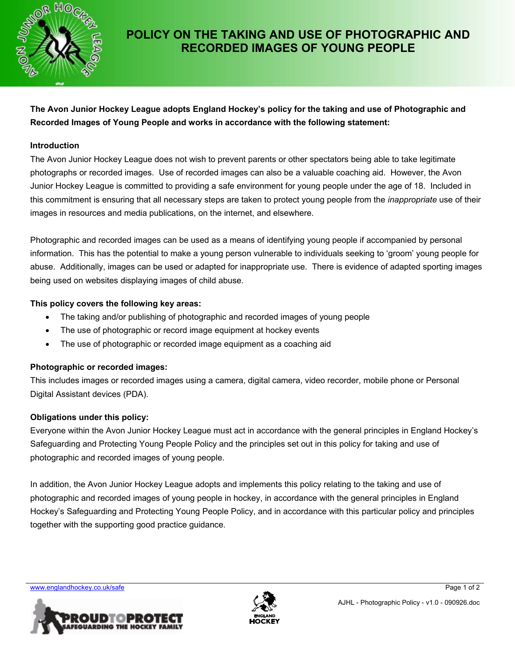

# **POLICY ON THE TAKING AND USE OF PHOTOGRAPHIC AND RECORDED IMAGES OF YOUNG PEOPLE**

**The Avon Junior Hockey League adopts England Hockey's policy for the taking and use of Photographic and Recorded Images of Young People and works in accordance with the following statement:** 

#### **Introduction**

The Avon Junior Hockey League does not wish to prevent parents or other spectators being able to take legitimate photographs or recorded images. Use of recorded images can also be a valuable coaching aid. However, the Avon Junior Hockey League is committed to providing a safe environment for young people under the age of 18. Included in this commitment is ensuring that all necessary steps are taken to protect young people from the *inappropriate* use of their images in resources and media publications, on the internet, and elsewhere.

Photographic and recorded images can be used as a means of identifying young people if accompanied by personal information. This has the potential to make a young person vulnerable to individuals seeking to 'groom' young people for abuse. Additionally, images can be used or adapted for inappropriate use. There is evidence of adapted sporting images being used on websites displaying images of child abuse.

#### **This policy covers the following key areas:**

- The taking and/or publishing of photographic and recorded images of young people
- The use of photographic or record image equipment at hockey events
- The use of photographic or recorded image equipment as a coaching aid

## **Photographic or recorded images:**

This includes images or recorded images using a camera, digital camera, video recorder, mobile phone or Personal Digital Assistant devices (PDA).

## **Obligations under this policy:**

Everyone within the Avon Junior Hockey League must act in accordance with the general principles in England Hockey's Safeguarding and Protecting Young People Policy and the principles set out in this policy for taking and use of photographic and recorded images of young people.

In addition, the Avon Junior Hockey League adopts and implements this policy relating to the taking and use of photographic and recorded images of young people in hockey, in accordance with the general principles in England Hockey's Safeguarding and Protecting Young People Policy, and in accordance with this particular policy and principles together with the supporting good practice guidance.

www.englandhockey.co.uk/safe **Page 1 of 2**